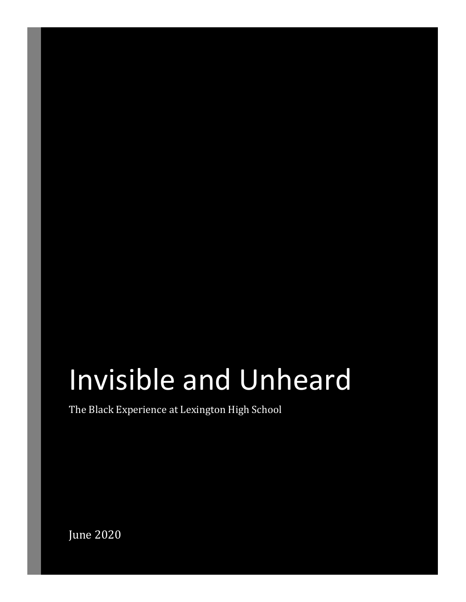# Invisible and Unheard

The Black Experience at Lexington High School

June 2020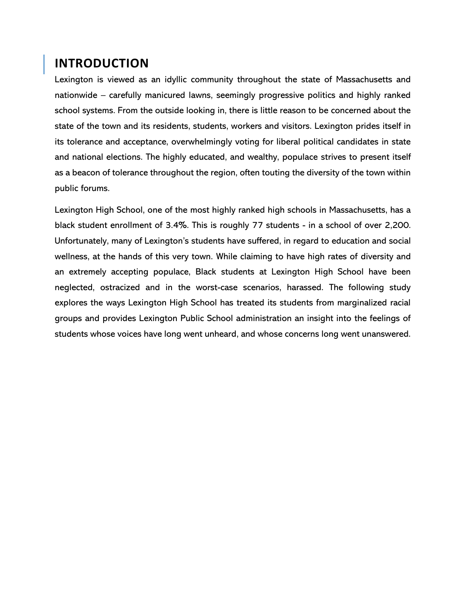#### **INTRODUCTION**

Lexington is viewed as an idyllic community throughout the state of Massachusetts and nationwide – carefully manicured lawns, seemingly progressive politics and highly ranked school systems. From the outside looking in, there is little reason to be concerned about the state of the town and its residents, students, workers and visitors. Lexington prides itself in its tolerance and acceptance, overwhelmingly voting for liberal political candidates in state and national elections. The highly educated, and wealthy, populace strives to present itself as a beacon of tolerance throughout the region, often touting the diversity of the town within public forums.

Lexington High School, one of the most highly ranked high schools in Massachusetts, has a black student enrollment of 3.4%. This is roughly 77 students - in a school of over 2,200. Unfortunately, many of Lexington's students have suffered, in regard to education and social wellness, at the hands of this very town. While claiming to have high rates of diversity and an extremely accepting populace, Black students at Lexington High School have been neglected, ostracized and in the worst-case scenarios, harassed. The following study explores the ways Lexington High School has treated its students from marginalized racial groups and provides Lexington Public School administration an insight into the feelings of students whose voices have long went unheard, and whose concerns long went unanswered.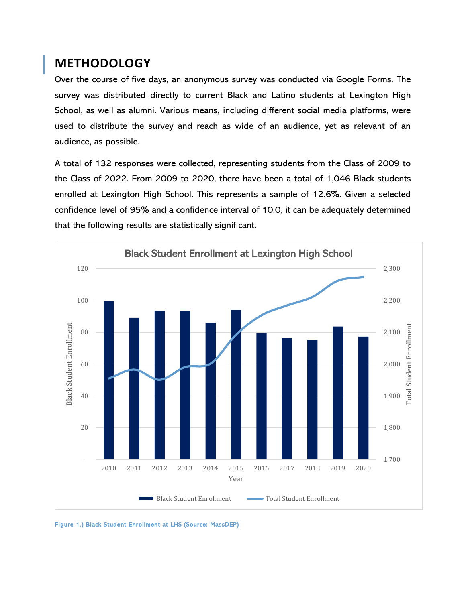## **METHODOLOGY**

Over the course of five days, an anonymous survey was conducted via Google Forms. The survey was distributed directly to current Black and Latino students at Lexington High School, as well as alumni. Various means, including different social media platforms, were used to distribute the survey and reach as wide of an audience, yet as relevant of an audience, as possible.

A total of 132 responses were collected, representing students from the Class of 2009 to the Class of 2022. From 2009 to 2020, there have been a total of 1,046 Black students enrolled at Lexington High School. This represents a sample of 12.6%. Given a selected confidence level of 95% and a confidence interval of 10.0, it can be adequately determined that the following results are statistically significant.



Figure 1.) Black Student Enrollment at LHS (Source: MassDEP)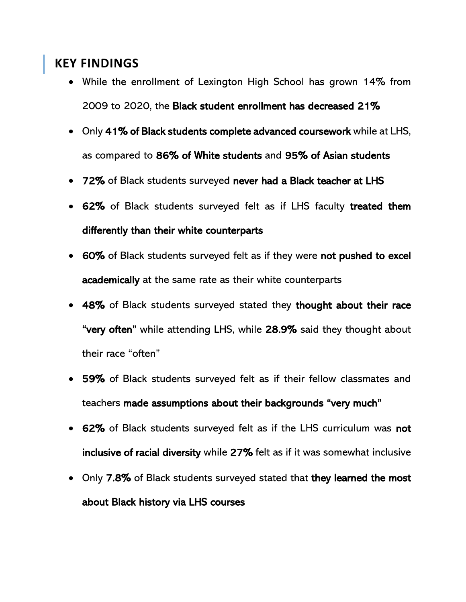## **KEY FINDINGS**

- While the enrollment of Lexington High School has grown 14% from 2009 to 2020, the Black student enrollment has decreased 21%
- Only 41% of Black students complete advanced coursework while at LHS, as compared to 86% of White students and 95% of Asian students
- 72% of Black students surveyed never had a Black teacher at LHS
- 62% of Black students surveyed felt as if LHS faculty treated them differently than their white counterparts
- 60% of Black students surveyed felt as if they were not pushed to excel academically at the same rate as their white counterparts
- 48% of Black students surveyed stated they thought about their race "very often" while attending LHS, while 28.9% said they thought about their race "often"
- 59% of Black students surveyed felt as if their fellow classmates and teachers made assumptions about their backgrounds "very much"
- 62% of Black students surveyed felt as if the LHS curriculum was not inclusive of racial diversity while 27% felt as if it was somewhat inclusive
- Only 7.8% of Black students surveyed stated that they learned the most about Black history via LHS courses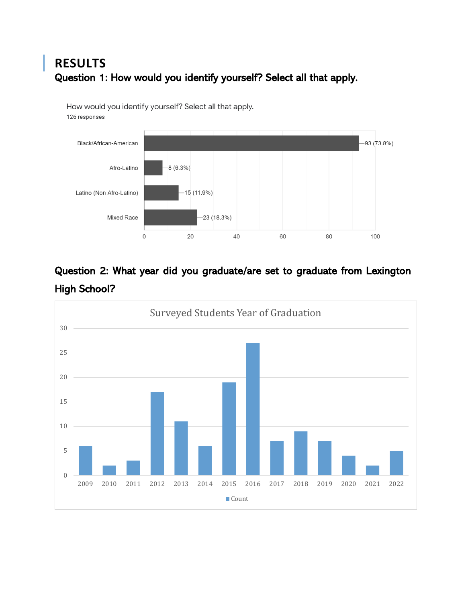#### **RESULTS** Question 1: How would you identify yourself? Select all that apply.

How would you identify yourself? Select all that apply.

126 responses



#### Question 2: What year did you graduate/are set to graduate from Lexington High School?

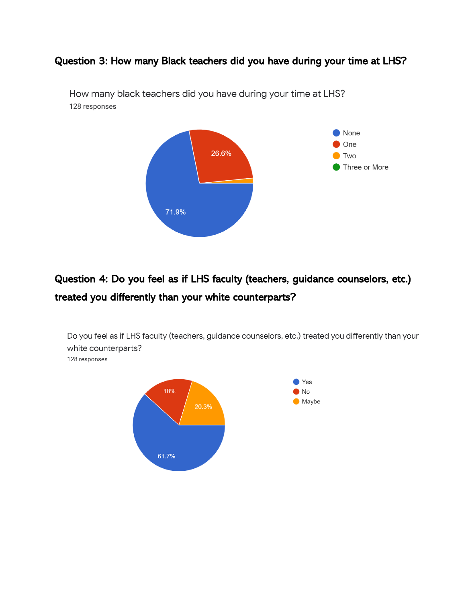#### Question 3: How many Black teachers did you have during your time at LHS?



How many black teachers did you have during your time at LHS? 128 responses

## Question 4: Do you feel as if LHS faculty (teachers, guidance counselors, etc.) treated you differently than your white counterparts?



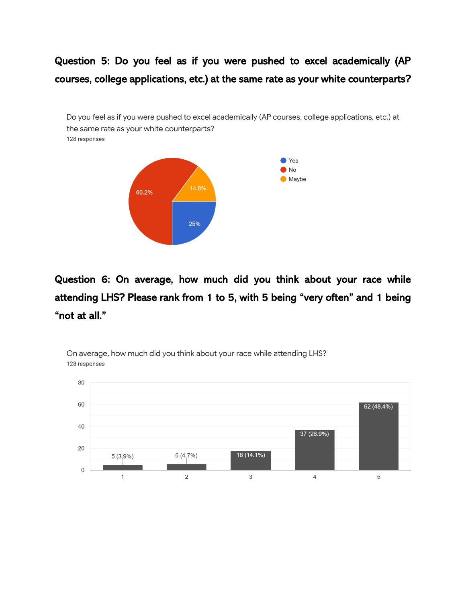## Question 5: Do you feel as if you were pushed to excel academically (AP courses, college applications, etc.) at the same rate as your white counterparts?

Do you feel as if you were pushed to excel academically (AP courses, college applications, etc.) at the same rate as your white counterparts? 128 responses



Question 6: On average, how much did you think about your race while attending LHS? Please rank from 1 to 5, with 5 being "very often" and 1 being "not at all."



On average, how much did you think about your race while attending LHS? 128 responses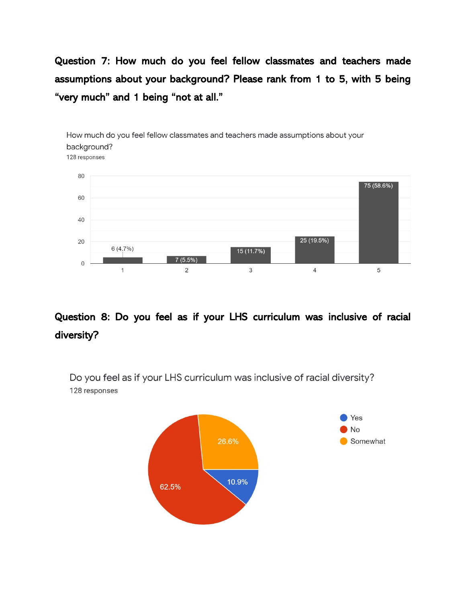Question 7: How much do you feel fellow classmates and teachers made assumptions about your background? Please rank from 1 to 5, with 5 being "very much" and 1 being "not at all."



#### Question 8: Do you feel as if your LHS curriculum was inclusive of racial diversity?

Do you feel as if your LHS curriculum was inclusive of racial diversity? 128 responses

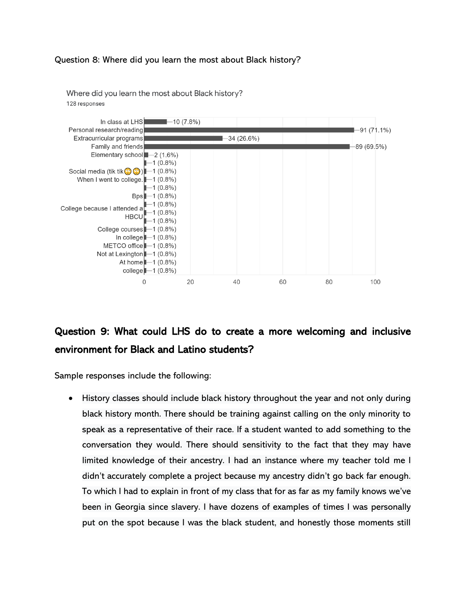#### Question 8: Where did you learn the most about Black history?



Where did you learn the most about Black history? 128 responses

## Question 9: What could LHS do to create a more welcoming and inclusive environment for Black and Latino students?

Sample responses include the following:

• History classes should include black history throughout the year and not only during black history month. There should be training against calling on the only minority to speak as a representative of their race. If a student wanted to add something to the conversation they would. There should sensitivity to the fact that they may have limited knowledge of their ancestry. I had an instance where my teacher told me I didn't accurately complete a project because my ancestry didn't go back far enough. To which I had to explain in front of my class that for as far as my family knows we've been in Georgia since slavery. I have dozens of examples of times I was personally put on the spot because I was the black student, and honestly those moments still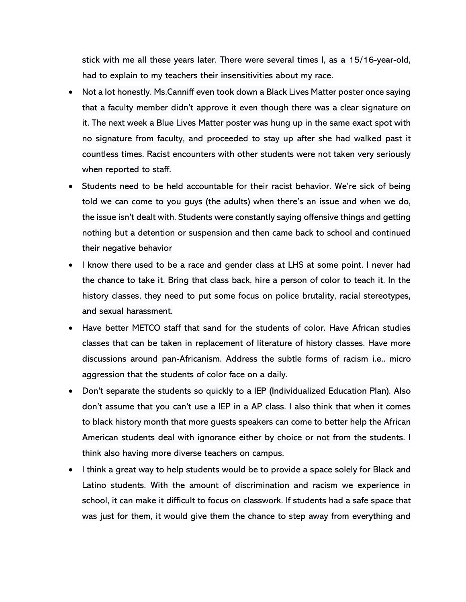stick with me all these years later. There were several times I, as a 15/16-year-old, had to explain to my teachers their insensitivities about my race.

- Not a lot honestly. Ms.Canniff even took down a Black Lives Matter poster once saying that a faculty member didn't approve it even though there was a clear signature on it. The next week a Blue Lives Matter poster was hung up in the same exact spot with no signature from faculty, and proceeded to stay up after she had walked past it countless times. Racist encounters with other students were not taken very seriously when reported to staff.
- Students need to be held accountable for their racist behavior. We're sick of being told we can come to you guys (the adults) when there's an issue and when we do, the issue isn't dealt with. Students were constantly saying offensive things and getting nothing but a detention or suspension and then came back to school and continued their negative behavior
- I know there used to be a race and gender class at LHS at some point. I never had the chance to take it. Bring that class back, hire a person of color to teach it. In the history classes, they need to put some focus on police brutality, racial stereotypes, and sexual harassment.
- Have better METCO staff that sand for the students of color. Have African studies classes that can be taken in replacement of literature of history classes. Have more discussions around pan-Africanism. Address the subtle forms of racism i.e.. micro aggression that the students of color face on a daily.
- Don't separate the students so quickly to a IEP (Individualized Education Plan). Also don't assume that you can't use a IEP in a AP class. I also think that when it comes to black history month that more guests speakers can come to better help the African American students deal with ignorance either by choice or not from the students. I think also having more diverse teachers on campus.
- I think a great way to help students would be to provide a space solely for Black and Latino students. With the amount of discrimination and racism we experience in school, it can make it difficult to focus on classwork. If students had a safe space that was just for them, it would give them the chance to step away from everything and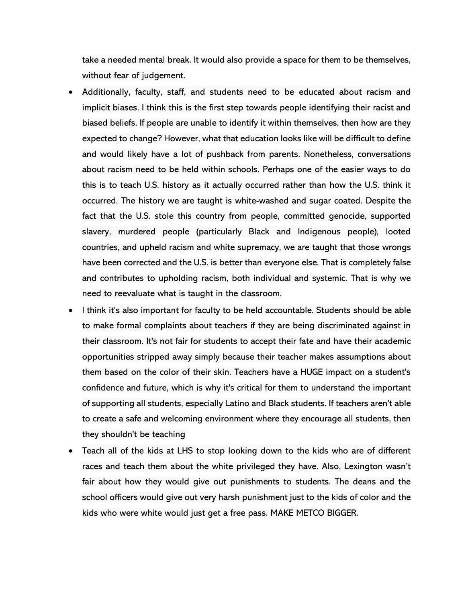take a needed mental break. It would also provide a space for them to be themselves, without fear of judgement.

- Additionally, faculty, staff, and students need to be educated about racism and implicit biases. I think this is the first step towards people identifying their racist and biased beliefs. If people are unable to identify it within themselves, then how are they expected to change? However, what that education looks like will be difficult to define and would likely have a lot of pushback from parents. Nonetheless, conversations about racism need to be held within schools. Perhaps one of the easier ways to do this is to teach U.S. history as it actually occurred rather than how the U.S. think it occurred. The history we are taught is white-washed and sugar coated. Despite the fact that the U.S. stole this country from people, committed genocide, supported slavery, murdered people (particularly Black and Indigenous people), looted countries, and upheld racism and white supremacy, we are taught that those wrongs have been corrected and the U.S. is better than everyone else. That is completely false and contributes to upholding racism, both individual and systemic. That is why we need to reevaluate what is taught in the classroom.
- I think it's also important for faculty to be held accountable. Students should be able to make formal complaints about teachers if they are being discriminated against in their classroom. It's not fair for students to accept their fate and have their academic opportunities stripped away simply because their teacher makes assumptions about them based on the color of their skin. Teachers have a HUGE impact on a student's confidence and future, which is why it's critical for them to understand the important of supporting all students, especially Latino and Black students. If teachers aren't able to create a safe and welcoming environment where they encourage all students, then they shouldn't be teaching
- Teach all of the kids at LHS to stop looking down to the kids who are of different races and teach them about the white privileged they have. Also, Lexington wasn't fair about how they would give out punishments to students. The deans and the school officers would give out very harsh punishment just to the kids of color and the kids who were white would just get a free pass. MAKE METCO BIGGER.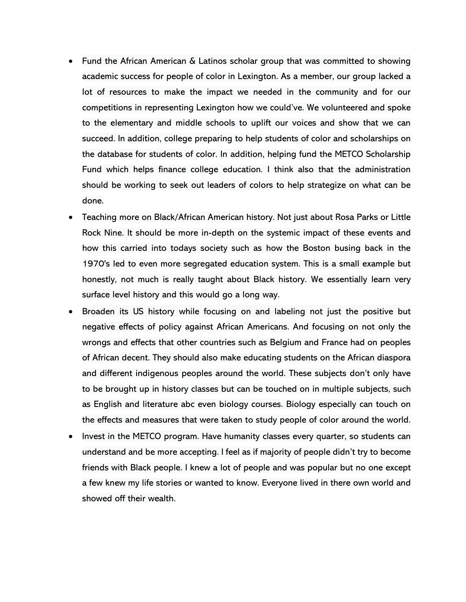- Fund the African American & Latinos scholar group that was committed to showing academic success for people of color in Lexington. As a member, our group lacked a lot of resources to make the impact we needed in the community and for our competitions in representing Lexington how we could've. We volunteered and spoke to the elementary and middle schools to uplift our voices and show that we can succeed. In addition, college preparing to help students of color and scholarships on the database for students of color. In addition, helping fund the METCO Scholarship Fund which helps finance college education. I think also that the administration should be working to seek out leaders of colors to help strategize on what can be done.
- Teaching more on Black/African American history. Not just about Rosa Parks or Little Rock Nine. It should be more in-depth on the systemic impact of these events and how this carried into todays society such as how the Boston busing back in the 1970's led to even more segregated education system. This is a small example but honestly, not much is really taught about Black history. We essentially learn very surface level history and this would go a long way.
- Broaden its US history while focusing on and labeling not just the positive but negative effects of policy against African Americans. And focusing on not only the wrongs and effects that other countries such as Belgium and France had on peoples of African decent. They should also make educating students on the African diaspora and different indigenous peoples around the world. These subjects don't only have to be brought up in history classes but can be touched on in multiple subjects, such as English and literature abc even biology courses. Biology especially can touch on the effects and measures that were taken to study people of color around the world.
- Invest in the METCO program. Have humanity classes every quarter, so students can understand and be more accepting. I feel as if majority of people didn't try to become friends with Black people. I knew a lot of people and was popular but no one except a few knew my life stories or wanted to know. Everyone lived in there own world and showed off their wealth.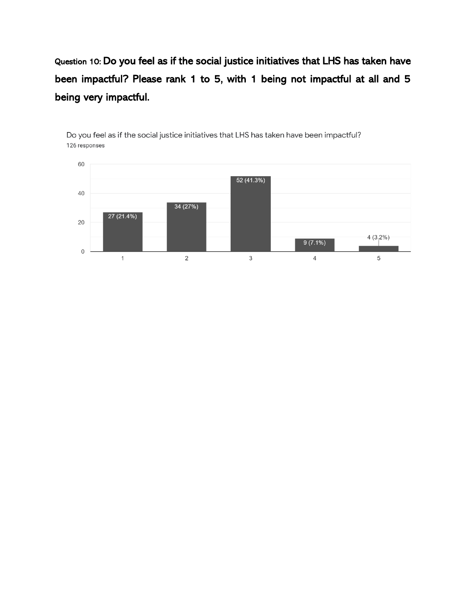Question 10: Do you feel as if the social justice initiatives that LHS has taken have been impactful? Please rank 1 to 5, with 1 being not impactful at all and 5 being very impactful.



Do you feel as if the social justice initiatives that LHS has taken have been impactful? 126 responses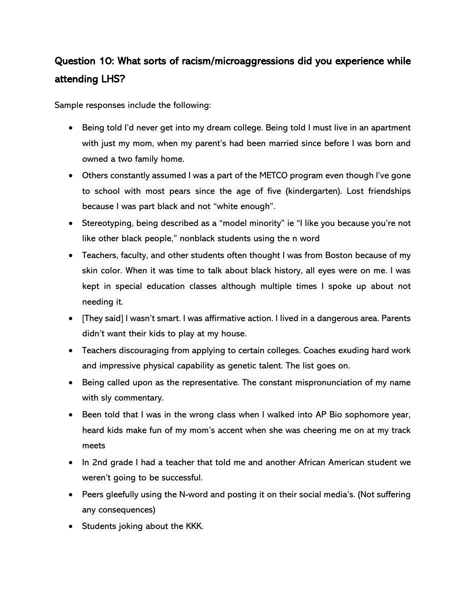#### Question 10: What sorts of racism/microaggressions did you experience while attending LHS?

Sample responses include the following:

- Being told I'd never get into my dream college. Being told I must live in an apartment with just my mom, when my parent's had been married since before I was born and owned a two family home.
- Others constantly assumed I was a part of the METCO program even though I've gone to school with most pears since the age of five (kindergarten). Lost friendships because I was part black and not "white enough".
- Stereotyping, being described as a "model minority" ie "I like you because you're not like other black people," nonblack students using the n word
- Teachers, faculty, and other students often thought I was from Boston because of my skin color. When it was time to talk about black history, all eyes were on me. I was kept in special education classes although multiple times I spoke up about not needing it.
- [They said] I wasn't smart. I was affirmative action. I lived in a dangerous area. Parents didn't want their kids to play at my house.
- Teachers discouraging from applying to certain colleges. Coaches exuding hard work and impressive physical capability as genetic talent. The list goes on.
- Being called upon as the representative. The constant mispronunciation of my name with sly commentary.
- Been told that I was in the wrong class when I walked into AP Bio sophomore year, heard kids make fun of my mom's accent when she was cheering me on at my track meets
- In 2nd grade I had a teacher that told me and another African American student we weren't going to be successful.
- Peers gleefully using the N-word and posting it on their social media's. (Not suffering any consequences)
- Students joking about the KKK.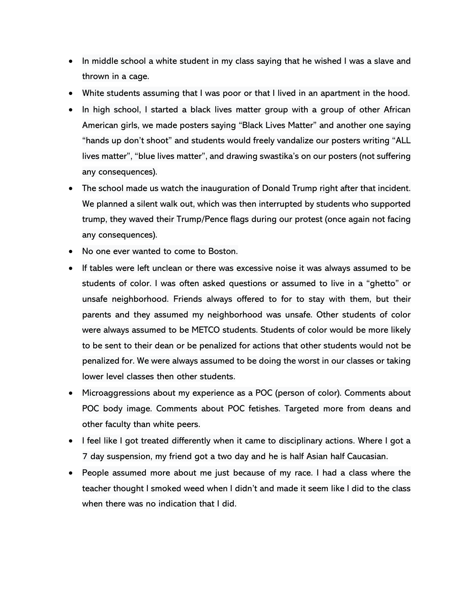- In middle school a white student in my class saying that he wished I was a slave and thrown in a cage.
- White students assuming that I was poor or that I lived in an apartment in the hood.
- In high school, I started a black lives matter group with a group of other African American girls, we made posters saying "Black Lives Matter" and another one saying "hands up don't shoot" and students would freely vandalize our posters writing "ALL lives matter", "blue lives matter", and drawing swastika's on our posters (not suffering any consequences).
- The school made us watch the inauguration of Donald Trump right after that incident. We planned a silent walk out, which was then interrupted by students who supported trump, they waved their Trump/Pence flags during our protest (once again not facing any consequences).
- No one ever wanted to come to Boston.
- If tables were left unclean or there was excessive noise it was always assumed to be students of color. I was often asked questions or assumed to live in a "ghetto" or unsafe neighborhood. Friends always offered to for to stay with them, but their parents and they assumed my neighborhood was unsafe. Other students of color were always assumed to be METCO students. Students of color would be more likely to be sent to their dean or be penalized for actions that other students would not be penalized for. We were always assumed to be doing the worst in our classes or taking lower level classes then other students.
- Microaggressions about my experience as a POC (person of color). Comments about POC body image. Comments about POC fetishes. Targeted more from deans and other faculty than white peers.
- I feel like I got treated differently when it came to disciplinary actions. Where I got a 7 day suspension, my friend got a two day and he is half Asian half Caucasian.
- People assumed more about me just because of my race. I had a class where the teacher thought I smoked weed when I didn't and made it seem like I did to the class when there was no indication that I did.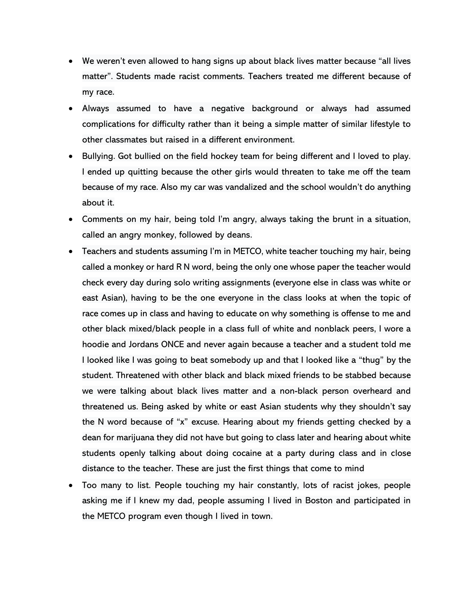- We weren't even allowed to hang signs up about black lives matter because "all lives matter". Students made racist comments. Teachers treated me different because of my race.
- Always assumed to have a negative background or always had assumed complications for difficulty rather than it being a simple matter of similar lifestyle to other classmates but raised in a different environment.
- Bullying. Got bullied on the field hockey team for being different and I loved to play. I ended up quitting because the other girls would threaten to take me off the team because of my race. Also my car was vandalized and the school wouldn't do anything about it.
- Comments on my hair, being told I'm angry, always taking the brunt in a situation, called an angry monkey, followed by deans.
- Teachers and students assuming I'm in METCO, white teacher touching my hair, being called a monkey or hard R N word, being the only one whose paper the teacher would check every day during solo writing assignments (everyone else in class was white or east Asian), having to be the one everyone in the class looks at when the topic of race comes up in class and having to educate on why something is offense to me and other black mixed/black people in a class full of white and nonblack peers, I wore a hoodie and Jordans ONCE and never again because a teacher and a student told me I looked like I was going to beat somebody up and that I looked like a "thug" by the student. Threatened with other black and black mixed friends to be stabbed because we were talking about black lives matter and a non-black person overheard and threatened us. Being asked by white or east Asian students why they shouldn't say the N word because of "x" excuse. Hearing about my friends getting checked by a dean for marijuana they did not have but going to class later and hearing about white students openly talking about doing cocaine at a party during class and in close distance to the teacher. These are just the first things that come to mind
- Too many to list. People touching my hair constantly, lots of racist jokes, people asking me if I knew my dad, people assuming I lived in Boston and participated in the METCO program even though I lived in town.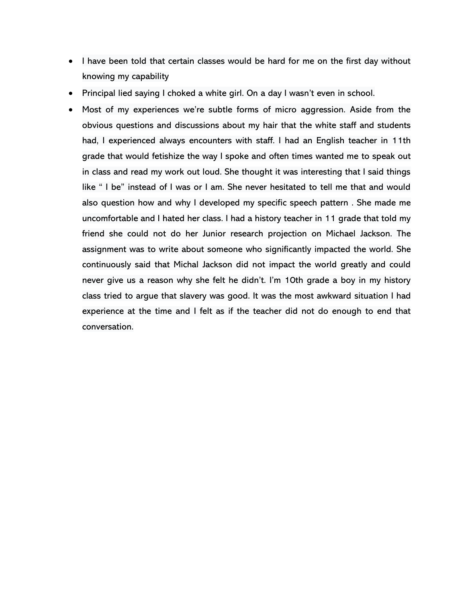- I have been told that certain classes would be hard for me on the first day without knowing my capability
- Principal lied saying I choked a white girl. On a day I wasn't even in school.
- Most of my experiences we're subtle forms of micro aggression. Aside from the obvious questions and discussions about my hair that the white staff and students had, I experienced always encounters with staff. I had an English teacher in 11th grade that would fetishize the way I spoke and often times wanted me to speak out in class and read my work out loud. She thought it was interesting that I said things like " I be" instead of I was or I am. She never hesitated to tell me that and would also question how and why I developed my specific speech pattern . She made me uncomfortable and I hated her class. I had a history teacher in 11 grade that told my friend she could not do her Junior research projection on Michael Jackson. The assignment was to write about someone who significantly impacted the world. She continuously said that Michal Jackson did not impact the world greatly and could never give us a reason why she felt he didn't. I'm 10th grade a boy in my history class tried to argue that slavery was good. It was the most awkward situation I had experience at the time and I felt as if the teacher did not do enough to end that conversation.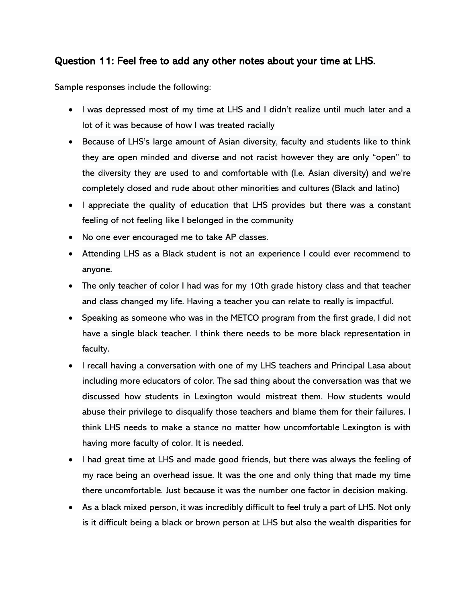#### Question 11: Feel free to add any other notes about your time at LHS.

Sample responses include the following:

- I was depressed most of my time at LHS and I didn't realize until much later and a lot of it was because of how I was treated racially
- Because of LHS's large amount of Asian diversity, faculty and students like to think they are open minded and diverse and not racist however they are only "open" to the diversity they are used to and comfortable with (I.e. Asian diversity) and we're completely closed and rude about other minorities and cultures (Black and latino)
- I appreciate the quality of education that LHS provides but there was a constant feeling of not feeling like I belonged in the community
- No one ever encouraged me to take AP classes.
- Attending LHS as a Black student is not an experience I could ever recommend to anyone.
- The only teacher of color I had was for my 10th grade history class and that teacher and class changed my life. Having a teacher you can relate to really is impactful.
- Speaking as someone who was in the METCO program from the first grade, I did not have a single black teacher. I think there needs to be more black representation in faculty.
- I recall having a conversation with one of my LHS teachers and Principal Lasa about including more educators of color. The sad thing about the conversation was that we discussed how students in Lexington would mistreat them. How students would abuse their privilege to disqualify those teachers and blame them for their failures. I think LHS needs to make a stance no matter how uncomfortable Lexington is with having more faculty of color. It is needed.
- I had great time at LHS and made good friends, but there was always the feeling of my race being an overhead issue. It was the one and only thing that made my time there uncomfortable. Just because it was the number one factor in decision making.
- As a black mixed person, it was incredibly difficult to feel truly a part of LHS. Not only is it difficult being a black or brown person at LHS but also the wealth disparities for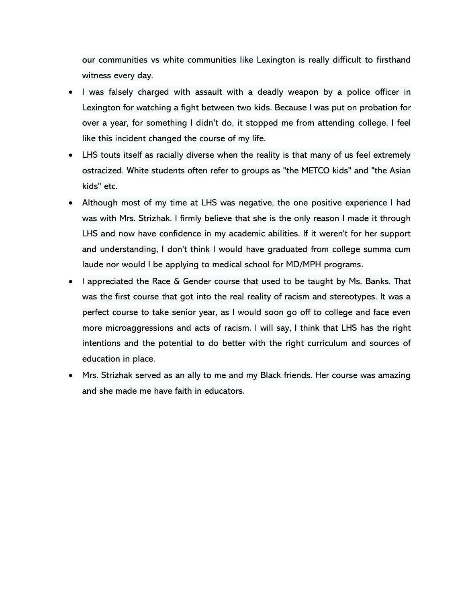our communities vs white communities like Lexington is really difficult to firsthand witness every day.

- I was falsely charged with assault with a deadly weapon by a police officer in Lexington for watching a fight between two kids. Because I was put on probation for over a year, for something I didn't do, it stopped me from attending college. I feel like this incident changed the course of my life.
- LHS touts itself as racially diverse when the reality is that many of us feel extremely ostracized. White students often refer to groups as "the METCO kids" and "the Asian kids" etc.
- Although most of my time at LHS was negative, the one positive experience I had was with Mrs. Strizhak. I firmly believe that she is the only reason I made it through LHS and now have confidence in my academic abilities. If it weren't for her support and understanding, I don't think I would have graduated from college summa cum laude nor would I be applying to medical school for MD/MPH programs.
- I appreciated the Race & Gender course that used to be taught by Ms. Banks. That was the first course that got into the real reality of racism and stereotypes. It was a perfect course to take senior year, as I would soon go off to college and face even more microaggressions and acts of racism. I will say, I think that LHS has the right intentions and the potential to do better with the right curriculum and sources of education in place.
- Mrs. Strizhak served as an ally to me and my Black friends. Her course was amazing and she made me have faith in educators.